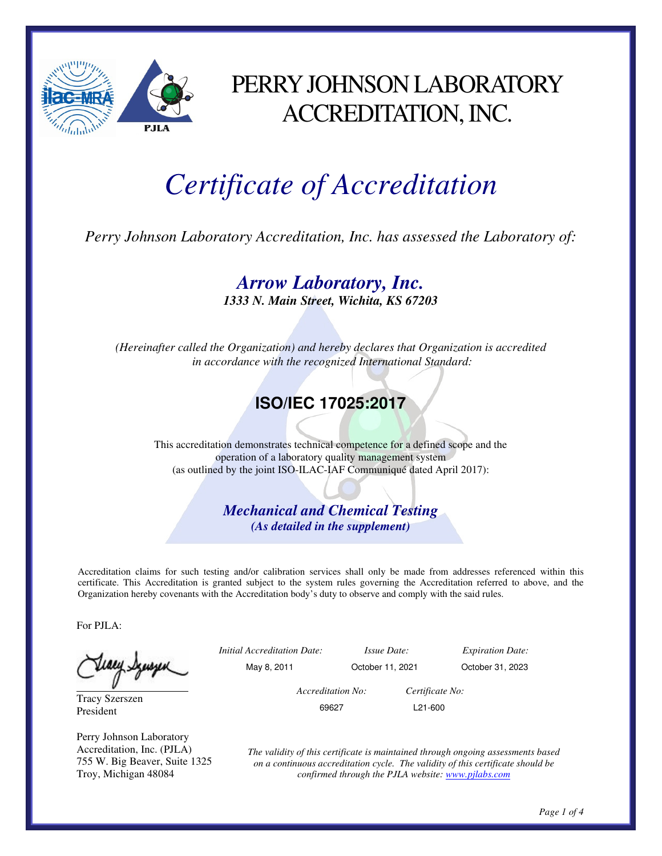

### PERRY JOHNSON LABORATORY ACCREDITATION, INC.

# *Certificate of Accreditation*

*Perry Johnson Laboratory Accreditation, Inc. has assessed the Laboratory of:* 

*Arrow Laboratory, Inc.* 

*1333 N. Main Street, Wichita, KS 67203* 

*(Hereinafter called the Organization) and hereby declares that Organization is accredited in accordance with the recognized International Standard:* 

#### **ISO/IEC 17025:2017**

This accreditation demonstrates technical competence for a defined scope and the operation of a laboratory quality management system (as outlined by the joint ISO-ILAC-IAF Communiqué dated April 2017):

> *Mechanical and Chemical Testing (As detailed in the supplement)*

Accreditation claims for such testing and/or calibration services shall only be made from addresses referenced within this certificate. This Accreditation is granted subject to the system rules governing the Accreditation referred to above, and the Organization hereby covenants with the Accreditation body's duty to observe and comply with the said rules.

For PJLA:

tiary Synsyn

Tracy Szerszen President

Perry Johnson Laboratory Accreditation, Inc. (PJLA) 755 W. Big Beaver, Suite 1325 Troy, Michigan 48084

|   | <i>Initial Accreditation Date:</i> |                  | <i>Issue Date:</i>   | <b>Expiration Date:</b> |  |
|---|------------------------------------|------------------|----------------------|-------------------------|--|
| ٮ | May 8, 2011                        | October 11, 2021 |                      | October 31, 2023        |  |
|   | Accreditation No:                  |                  | Certificate No:      |                         |  |
|   | 69627                              |                  | L <sub>21</sub> -600 |                         |  |
|   |                                    |                  |                      |                         |  |

*The validity of this certificate is maintained through ongoing assessments based on a continuous accreditation cycle. The validity of this certificate should be confirmed through the PJLA website: www.pjlabs.com*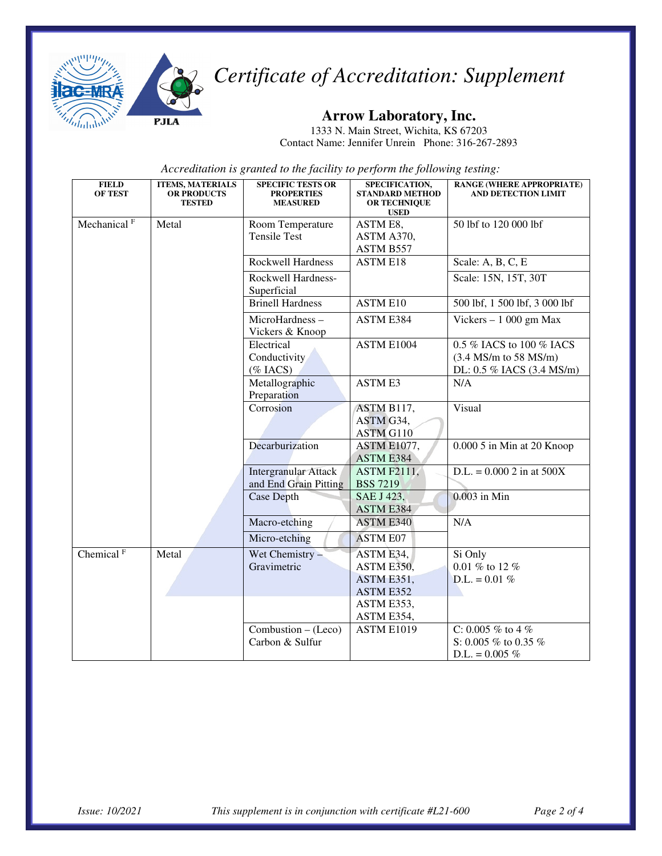

## *Certificate of Accreditation: Supplement*

#### **Arrow Laboratory, Inc.**

1333 N. Main Street, Wichita, KS 67203 Contact Name: Jennifer Unrein Phone: 316-267-2893

*Accreditation is granted to the facility to perform the following testing:*

| <b>FIELD</b><br><b>OF TEST</b> | <b>ITEMS, MATERIALS</b><br><b>OR PRODUCTS</b><br><b>TESTED</b> | <b>SPECIFIC TESTS OR</b><br><b>PROPERTIES</b><br><b>MEASURED</b> | SPECIFICATION,<br><b>STANDARD METHOD</b><br><b>OR TECHNIQUE</b><br><b>USED</b> | <b>RANGE (WHERE APPROPRIATE)</b><br><b>AND DETECTION LIMIT</b>                   |
|--------------------------------|----------------------------------------------------------------|------------------------------------------------------------------|--------------------------------------------------------------------------------|----------------------------------------------------------------------------------|
| Mechanical <sup>F</sup>        | Metal                                                          | Room Temperature<br><b>Tensile Test</b>                          | ASTM E8,<br>ASTM A370,<br>ASTM B557                                            | 50 lbf to 120 000 lbf                                                            |
|                                |                                                                | <b>Rockwell Hardness</b>                                         | <b>ASTM E18</b>                                                                | Scale: A, B, C, E                                                                |
|                                |                                                                | Rockwell Hardness-<br>Superficial                                |                                                                                | Scale: 15N, 15T, 30T                                                             |
|                                |                                                                | <b>Brinell Hardness</b>                                          | <b>ASTM E10</b>                                                                | 500 lbf, 1 500 lbf, 3 000 lbf                                                    |
|                                |                                                                | MicroHardness-<br>Vickers & Knoop                                | ASTM E384                                                                      | Vickers $-1000$ gm Max                                                           |
|                                |                                                                | Electrical<br>Conductivity<br>$(\%$ IACS)                        | ASTM E1004                                                                     | 0.5 % IACS to 100 % IACS<br>$(3.4$ MS/m to 58 MS/m)<br>DL: 0.5 % IACS (3.4 MS/m) |
|                                |                                                                | Metallographic<br>Preparation                                    | <b>ASTM E3</b>                                                                 | N/A                                                                              |
|                                |                                                                | Corrosion                                                        | ASTM B117,<br>ASTM G34,<br>ASTM G110                                           | Visual                                                                           |
|                                |                                                                | Decarburization                                                  | ASTM E1077,<br><b>ASTM E384</b>                                                | 0.000 5 in Min at 20 Knoop                                                       |
|                                |                                                                | <b>Intergranular Attack</b><br>and End Grain Pitting             | <b>ASTM F2111,</b><br><b>BSS 7219</b>                                          | $D.L. = 0.0002$ in at 500X                                                       |
|                                |                                                                | <b>Case Depth</b>                                                | SAE J 423,<br>ASTM E384                                                        | $0.003$ in Min                                                                   |
|                                |                                                                | Macro-etching<br>Micro-etching                                   | <b>ASTM E340</b><br><b>ASTM E07</b>                                            | N/A                                                                              |
| Chemical <sup>F</sup>          | Metal                                                          | Wet Chemistry -<br>Gravimetric                                   | ASTM E34,<br>ASTM E350,<br>ASTM E351,<br>ASTM E352<br>ASTM E353,<br>ASTM E354, | Si Only<br>0.01 % to 12 %<br>$D.L. = 0.01\%$                                     |
|                                |                                                                | $Combustion - (Leco)$<br>Carbon & Sulfur                         | <b>ASTM E1019</b>                                                              | C: 0.005 % to 4 %<br>S: 0.005 % to 0.35 %<br>$D.L. = 0.005 \%$                   |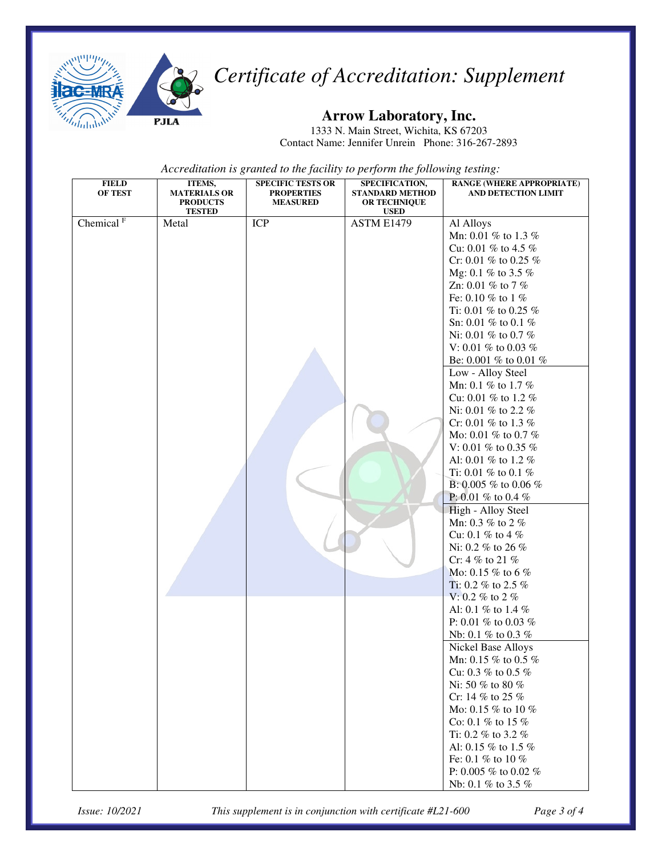

### *Certificate of Accreditation: Supplement*

#### **Arrow Laboratory, Inc.**

1333 N. Main Street, Wichita, KS 67203 Contact Name: Jennifer Unrein Phone: 316-267-2893

*Accreditation is granted to the facility to perform the following testing:*

| <b>FIELD</b>          | ITEMS,              | <b>SPECIFIC TESTS OR</b> | SPECIFICATION,         | <b>RANGE (WHERE APPROPRIATE)</b> |
|-----------------------|---------------------|--------------------------|------------------------|----------------------------------|
| OF TEST               | <b>MATERIALS OR</b> | <b>PROPERTIES</b>        | <b>STANDARD METHOD</b> | AND DETECTION LIMIT              |
|                       | <b>PRODUCTS</b>     | <b>MEASURED</b>          | OR TECHNIQUE           |                                  |
|                       | <b>TESTED</b>       |                          | <b>USED</b>            |                                  |
| Chemical <sup>F</sup> | Metal               | <b>ICP</b>               | ASTM E1479             | Al Alloys                        |
|                       |                     |                          |                        | Mn: 0.01 % to 1.3 %              |
|                       |                     |                          |                        | Cu: 0.01 % to 4.5 %              |
|                       |                     |                          |                        | Cr: 0.01 % to 0.25 %             |
|                       |                     |                          |                        | Mg: 0.1 % to 3.5 %               |
|                       |                     |                          |                        | Zn: 0.01 % to 7 %                |
|                       |                     |                          |                        | Fe: 0.10 % to 1 %                |
|                       |                     |                          |                        | Ti: 0.01 $\%$ to 0.25 $\%$       |
|                       |                     |                          |                        | Sn: 0.01 % to 0.1 %              |
|                       |                     |                          |                        | Ni: 0.01 % to 0.7 %              |
|                       |                     |                          |                        | V: 0.01 % to 0.03 %              |
|                       |                     |                          |                        | Be: 0.001 % to 0.01 %            |
|                       |                     |                          |                        | Low - Alloy Steel                |
|                       |                     |                          |                        | Mn: 0.1 % to 1.7 %               |
|                       |                     |                          |                        | Cu: 0.01 % to 1.2 %              |
|                       |                     |                          |                        |                                  |
|                       |                     |                          |                        | Ni: 0.01 % to 2.2 %              |
|                       |                     |                          |                        | Cr: 0.01 % to 1.3 %              |
|                       |                     |                          |                        | Mo: 0.01 % to 0.7 %              |
|                       |                     |                          |                        | V: 0.01 % to 0.35 %              |
|                       |                     |                          |                        | Al: 0.01 % to 1.2 %              |
|                       |                     |                          |                        | Ti: 0.01 % to 0.1 %              |
|                       |                     |                          |                        | B: 0.005 % to 0.06 %             |
|                       |                     |                          |                        | P: 0.01 % to 0.4 %               |
|                       |                     |                          |                        | High - Alloy Steel               |
|                       |                     |                          |                        | Mn: 0.3 % to 2 %                 |
|                       |                     |                          |                        | Cu: 0.1 % to 4 %                 |
|                       |                     |                          |                        | Ni: 0.2 % to 26 %                |
|                       |                     |                          |                        | Cr: 4 % to 21 %                  |
|                       |                     |                          |                        | Mo: 0.15 % to 6 %                |
|                       |                     |                          |                        | Ti: 0.2 % to 2.5 %               |
|                       |                     |                          |                        | V: 0.2 % to 2 %                  |
|                       |                     |                          |                        |                                  |
|                       |                     |                          |                        | Al: 0.1 % to 1.4 %               |
|                       |                     |                          |                        | P: 0.01 % to 0.03 %              |
|                       |                     |                          |                        | Nb: 0.1 % to 0.3 %               |
|                       |                     |                          |                        | Nickel Base Alloys               |
|                       |                     |                          |                        | Mn: 0.15 % to 0.5 %              |
|                       |                     |                          |                        | Cu: 0.3 % to 0.5 %               |
|                       |                     |                          |                        | Ni: 50 % to 80 %                 |
|                       |                     |                          |                        | Cr: 14 % to 25 %                 |
|                       |                     |                          |                        | Mo: 0.15 % to 10 %               |
|                       |                     |                          |                        | Co: 0.1 % to 15 %                |
|                       |                     |                          |                        | Ti: 0.2 % to 3.2 %               |
|                       |                     |                          |                        | Al: 0.15 % to 1.5 %              |
|                       |                     |                          |                        | Fe: 0.1 % to 10 %                |
|                       |                     |                          |                        | P: 0.005 % to 0.02 %             |
|                       |                     |                          |                        | Nb: 0.1 % to 3.5 %               |
|                       |                     |                          |                        |                                  |

*Issue: 10/2021 This supplement is in conjunction with certificate #L21-600 Page 3 of 4*